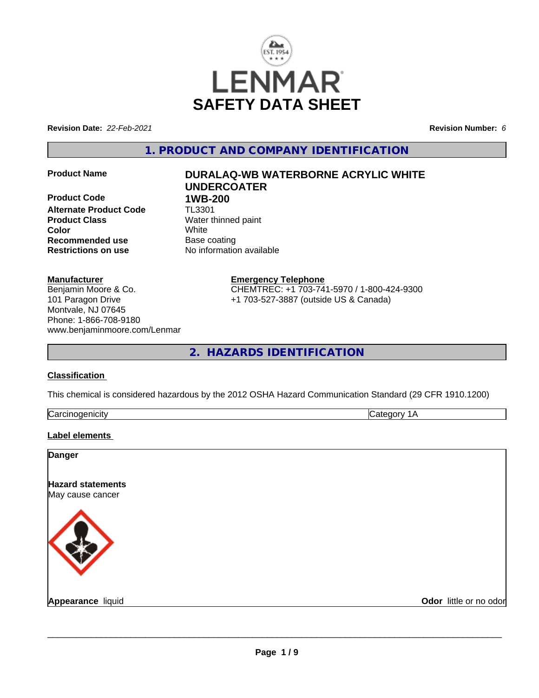

**Revision Date:** *22-Feb-2021* **Revision Number:** *6*

**1. PRODUCT AND COMPANY IDENTIFICATION**

**Product Code 1WB-200 Alternate Product Code** TL3301 **Product Class** Water thinned paint **Color** White **Recommended use** Base coating **Restrictions on use** No information available

# **Product Name DURALAQ-WB WATERBORNE ACRYLIC WHITE UNDERCOATER**

## **Manufacturer**

Benjamin Moore & Co. 101 Paragon Drive Montvale, NJ 07645 Phone: 1-866-708-9180 www.benjaminmoore.com/Lenmar

## **Emergency Telephone**

CHEMTREC: +1 703-741-5970 / 1-800-424-9300 +1 703-527-3887 (outside US & Canada)

**2. HAZARDS IDENTIFICATION**

## **Classification**

This chemical is considered hazardous by the 2012 OSHA Hazard Communication Standard (29 CFR 1910.1200)

| . .<br> |          |  |
|---------|----------|--|
|         | ∽<br>س . |  |

## **Label elements**

| <b>Danger</b>                         |                        |
|---------------------------------------|------------------------|
| Hazard statements<br>May cause cancer |                        |
|                                       |                        |
| Appearance liquid                     | Odor little or no odor |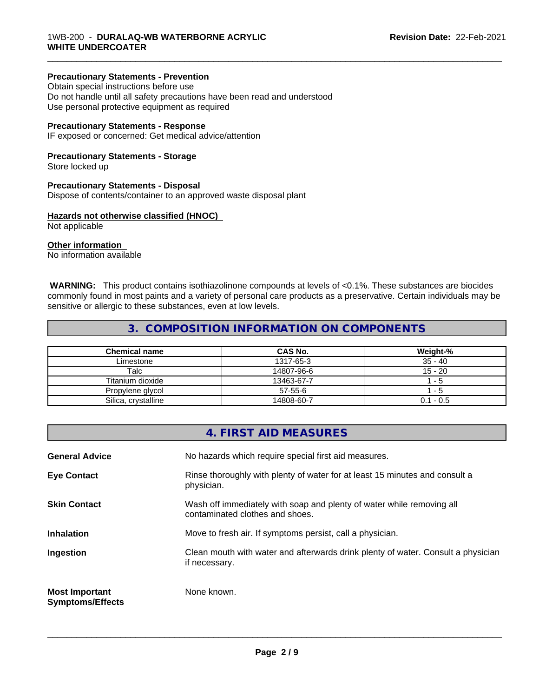## **Precautionary Statements - Prevention**

Obtain special instructions before use Do not handle until all safety precautions have been read and understood Use personal protective equipment as required

## **Precautionary Statements - Response**

IF exposed or concerned: Get medical advice/attention

## **Precautionary Statements - Storage**

Store locked up

## **Precautionary Statements - Disposal**

Dispose of contents/container to an approved waste disposal plant

## **Hazards not otherwise classified (HNOC)**

Not applicable

## **Other information**

No information available

 **WARNING:** This product contains isothiazolinone compounds at levels of <0.1%. These substances are biocides commonly found in most paints and a variety of personal care products as a preservative. Certain individuals may be sensitive or allergic to these substances, even at low levels.

\_\_\_\_\_\_\_\_\_\_\_\_\_\_\_\_\_\_\_\_\_\_\_\_\_\_\_\_\_\_\_\_\_\_\_\_\_\_\_\_\_\_\_\_\_\_\_\_\_\_\_\_\_\_\_\_\_\_\_\_\_\_\_\_\_\_\_\_\_\_\_\_\_\_\_\_\_\_\_\_\_\_\_\_\_\_\_\_\_\_\_\_\_

## **3. COMPOSITION INFORMATION ON COMPONENTS**

| <b>Chemical name</b> | <b>CAS No.</b> | Weight-%    |
|----------------------|----------------|-------------|
| Limestone            | 1317-65-3      | $35 - 40$   |
| Talc                 | 14807-96-6     | $15 - 20$   |
| Titanium dioxide     | 13463-67-7     | - 5         |
| Propylene glycol     | $57 - 55 - 6$  | - 5         |
| Silica, crystalline  | 14808-60-7     | $0.1 - 0.5$ |

|                                                  | 4. FIRST AID MEASURES                                                                                    |
|--------------------------------------------------|----------------------------------------------------------------------------------------------------------|
| <b>General Advice</b>                            | No hazards which require special first aid measures.                                                     |
| <b>Eye Contact</b>                               | Rinse thoroughly with plenty of water for at least 15 minutes and consult a<br>physician.                |
| <b>Skin Contact</b>                              | Wash off immediately with soap and plenty of water while removing all<br>contaminated clothes and shoes. |
| <b>Inhalation</b>                                | Move to fresh air. If symptoms persist, call a physician.                                                |
| Ingestion                                        | Clean mouth with water and afterwards drink plenty of water. Consult a physician<br>if necessary.        |
| <b>Most Important</b><br><b>Symptoms/Effects</b> | None known.                                                                                              |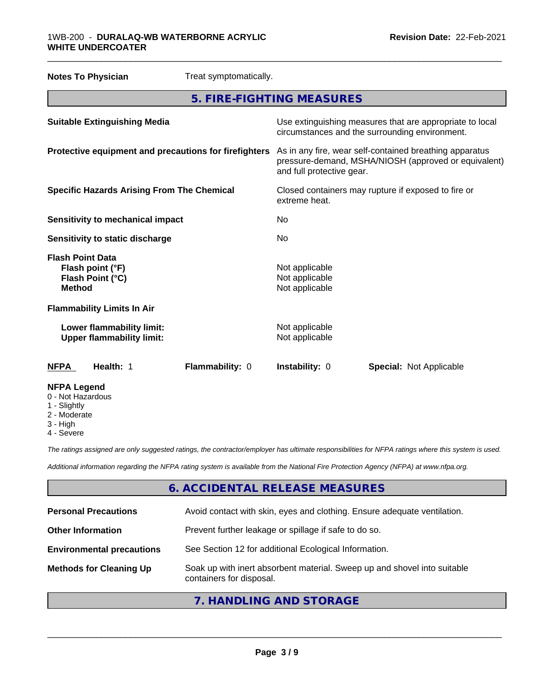## 1WB-200 - **DURALAQ-WB WATERBORNE ACRYLIC WHITE UNDERCOATER**

| <b>Notes To Physician</b>                                                        | Treat symptomatically. |                                                    |                                                                                                                 |  |
|----------------------------------------------------------------------------------|------------------------|----------------------------------------------------|-----------------------------------------------------------------------------------------------------------------|--|
| 5. FIRE-FIGHTING MEASURES                                                        |                        |                                                    |                                                                                                                 |  |
| <b>Suitable Extinguishing Media</b>                                              |                        |                                                    | Use extinguishing measures that are appropriate to local<br>circumstances and the surrounding environment.      |  |
| Protective equipment and precautions for firefighters                            |                        | and full protective gear.                          | As in any fire, wear self-contained breathing apparatus<br>pressure-demand, MSHA/NIOSH (approved or equivalent) |  |
| <b>Specific Hazards Arising From The Chemical</b>                                |                        | extreme heat.                                      | Closed containers may rupture if exposed to fire or                                                             |  |
| <b>Sensitivity to mechanical impact</b>                                          |                        | No.                                                |                                                                                                                 |  |
| <b>Sensitivity to static discharge</b>                                           |                        | No.                                                |                                                                                                                 |  |
| <b>Flash Point Data</b><br>Flash point (°F)<br>Flash Point (°C)<br><b>Method</b> |                        | Not applicable<br>Not applicable<br>Not applicable |                                                                                                                 |  |
| <b>Flammability Limits In Air</b>                                                |                        |                                                    |                                                                                                                 |  |
| Lower flammability limit:<br><b>Upper flammability limit:</b>                    |                        | Not applicable<br>Not applicable                   |                                                                                                                 |  |
| Health: 1<br><b>NFPA</b>                                                         | Flammability: 0        | Instability: 0                                     | <b>Special: Not Applicable</b>                                                                                  |  |
| <b>NFPA Legend</b><br>0 - Not Hazardous<br>1 - Slightly                          |                        |                                                    |                                                                                                                 |  |

\_\_\_\_\_\_\_\_\_\_\_\_\_\_\_\_\_\_\_\_\_\_\_\_\_\_\_\_\_\_\_\_\_\_\_\_\_\_\_\_\_\_\_\_\_\_\_\_\_\_\_\_\_\_\_\_\_\_\_\_\_\_\_\_\_\_\_\_\_\_\_\_\_\_\_\_\_\_\_\_\_\_\_\_\_\_\_\_\_\_\_\_\_

- Slightly
- 2 Moderate
- 3 High
- 4 Severe

*The ratings assigned are only suggested ratings, the contractor/employer has ultimate responsibilities for NFPA ratings where this system is used.*

*Additional information regarding the NFPA rating system is available from the National Fire Protection Agency (NFPA) at www.nfpa.org.*

## **6. ACCIDENTAL RELEASE MEASURES**

| <b>Personal Precautions</b>      | Avoid contact with skin, eyes and clothing. Ensure adequate ventilation.                             |
|----------------------------------|------------------------------------------------------------------------------------------------------|
| <b>Other Information</b>         | Prevent further leakage or spillage if safe to do so.                                                |
| <b>Environmental precautions</b> | See Section 12 for additional Ecological Information.                                                |
| <b>Methods for Cleaning Up</b>   | Soak up with inert absorbent material. Sweep up and shovel into suitable<br>containers for disposal. |
|                                  |                                                                                                      |

## **7. HANDLING AND STORAGE**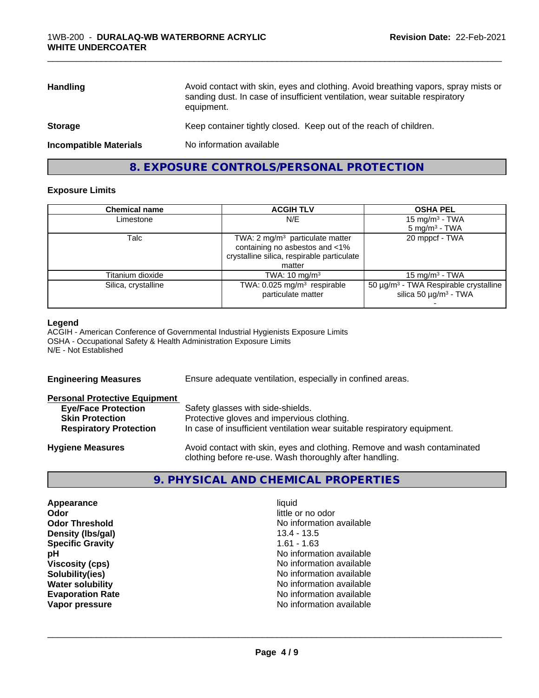| <b>Handling</b>               | Avoid contact with skin, eyes and clothing. Avoid breathing vapors, spray mists or<br>sanding dust. In case of insufficient ventilation, wear suitable respiratory<br>equipment. |
|-------------------------------|----------------------------------------------------------------------------------------------------------------------------------------------------------------------------------|
| <b>Storage</b>                | Keep container tightly closed. Keep out of the reach of children.                                                                                                                |
| <b>Incompatible Materials</b> | No information available                                                                                                                                                         |

## **8. EXPOSURE CONTROLS/PERSONAL PROTECTION**

## **Exposure Limits**

| <b>Chemical name</b> | <b>ACGIH TLV</b>                                                                                                                     | <b>OSHA PEL</b>                                                                             |
|----------------------|--------------------------------------------------------------------------------------------------------------------------------------|---------------------------------------------------------------------------------------------|
| Limestone            | N/E                                                                                                                                  | 15 mg/m <sup>3</sup> - TWA                                                                  |
|                      |                                                                                                                                      | $5 \text{ mg/m}^3$ - TWA                                                                    |
| Talc                 | TWA: $2 \text{ mg/m}^3$ particulate matter<br>containing no asbestos and <1%<br>crystalline silica, respirable particulate<br>matter | 20 mppcf - TWA                                                                              |
| Titanium dioxide     | TWA: $10 \text{ mg/m}^3$                                                                                                             | $15 \text{ mg/m}^3$ - TWA                                                                   |
| Silica, crystalline  | TWA: 0.025 mg/m <sup>3</sup> respirable<br>particulate matter                                                                        | 50 µg/m <sup>3</sup> - TWA Respirable crystalline<br>silica 50 $\mu$ g/m <sup>3</sup> - TWA |
|                      |                                                                                                                                      |                                                                                             |

## **Legend**

ACGIH - American Conference of Governmental Industrial Hygienists Exposure Limits OSHA - Occupational Safety & Health Administration Exposure Limits N/E - Not Established

| Ensure adequate ventilation, especially in confined areas.<br><b>Engineering Measures</b>                                                                      |  |
|----------------------------------------------------------------------------------------------------------------------------------------------------------------|--|
| <b>Personal Protective Equipment</b>                                                                                                                           |  |
| Safety glasses with side-shields.<br><b>Eye/Face Protection</b>                                                                                                |  |
| Protective gloves and impervious clothing.<br><b>Skin Protection</b>                                                                                           |  |
| In case of insufficient ventilation wear suitable respiratory equipment.<br><b>Respiratory Protection</b>                                                      |  |
| Avoid contact with skin, eyes and clothing. Remove and wash contaminated<br><b>Hygiene Measures</b><br>clothing before re-use. Wash thoroughly after handling. |  |

## **9. PHYSICAL AND CHEMICAL PROPERTIES**

| Appearance              | liauid                   |  |
|-------------------------|--------------------------|--|
| Odor                    | little or no odor        |  |
| <b>Odor Threshold</b>   | No information available |  |
| Density (Ibs/gal)       | $13.4 - 13.5$            |  |
| <b>Specific Gravity</b> | $1.61 - 1.63$            |  |
| pН                      | No information available |  |
| <b>Viscosity (cps)</b>  | No information available |  |
| Solubility(ies)         | No information available |  |
| <b>Water solubility</b> | No information available |  |
| <b>Evaporation Rate</b> | No information available |  |
| Vapor pressure          | No information available |  |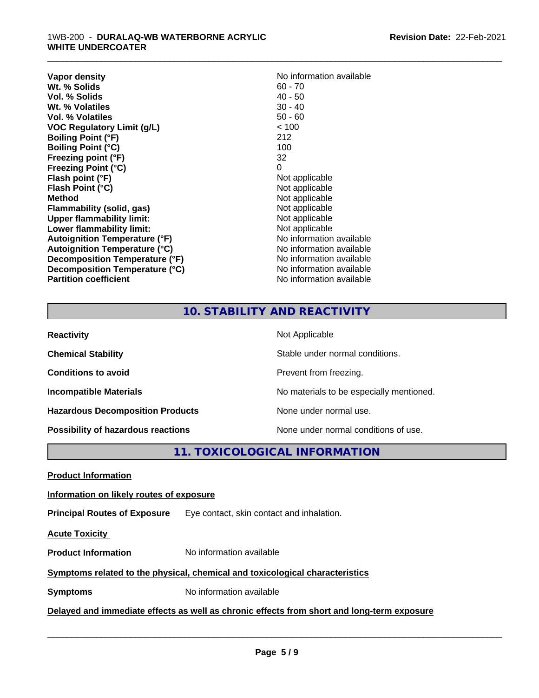## 1WB-200 - **DURALAQ-WB WATERBORNE ACRYLIC WHITE UNDERCOATER**

| Vapor density                        | No information available |
|--------------------------------------|--------------------------|
| Wt. % Solids                         | $60 - 70$                |
| Vol. % Solids                        | $40 - 50$                |
| Wt. % Volatiles                      | $30 - 40$                |
| Vol. % Volatiles                     | $50 - 60$                |
| <b>VOC Regulatory Limit (g/L)</b>    | < 100                    |
| <b>Boiling Point (°F)</b>            | 212                      |
| <b>Boiling Point (°C)</b>            | 100                      |
| Freezing point (°F)                  | 32                       |
| <b>Freezing Point (°C)</b>           | 0                        |
| Flash point (°F)                     | Not applicable           |
| Flash Point (°C)                     | Not applicable           |
| Method                               | Not applicable           |
| Flammability (solid, gas)            | Not applicable           |
| <b>Upper flammability limit:</b>     | Not applicable           |
| Lower flammability limit:            | Not applicable           |
| Autoignition Temperature (°F)        | No information available |
| <b>Autoignition Temperature (°C)</b> | No information available |
| Decomposition Temperature (°F)       | No information available |
| Decomposition Temperature (°C)       | No information available |
| <b>Partition coefficient</b>         | No information available |

\_\_\_\_\_\_\_\_\_\_\_\_\_\_\_\_\_\_\_\_\_\_\_\_\_\_\_\_\_\_\_\_\_\_\_\_\_\_\_\_\_\_\_\_\_\_\_\_\_\_\_\_\_\_\_\_\_\_\_\_\_\_\_\_\_\_\_\_\_\_\_\_\_\_\_\_\_\_\_\_\_\_\_\_\_\_\_\_\_\_\_\_\_

## **10. STABILITY AND REACTIVITY**

| <b>Reactivity</b>                         | Not Applicable                           |
|-------------------------------------------|------------------------------------------|
| <b>Chemical Stability</b>                 | Stable under normal conditions.          |
| <b>Conditions to avoid</b>                | Prevent from freezing.                   |
| <b>Incompatible Materials</b>             | No materials to be especially mentioned. |
| <b>Hazardous Decomposition Products</b>   | None under normal use.                   |
| <b>Possibility of hazardous reactions</b> | None under normal conditions of use.     |

**11. TOXICOLOGICAL INFORMATION**

**Product Information**

## **Information on likely routes of exposure**

**Principal Routes of Exposure** Eye contact, skin contact and inhalation.

**Acute Toxicity** 

**Product Information** No information available

## **Symptoms related to the physical,chemical and toxicological characteristics**

**Symptoms** No information available

**Delayed and immediate effects as well as chronic effects from short and long-term exposure**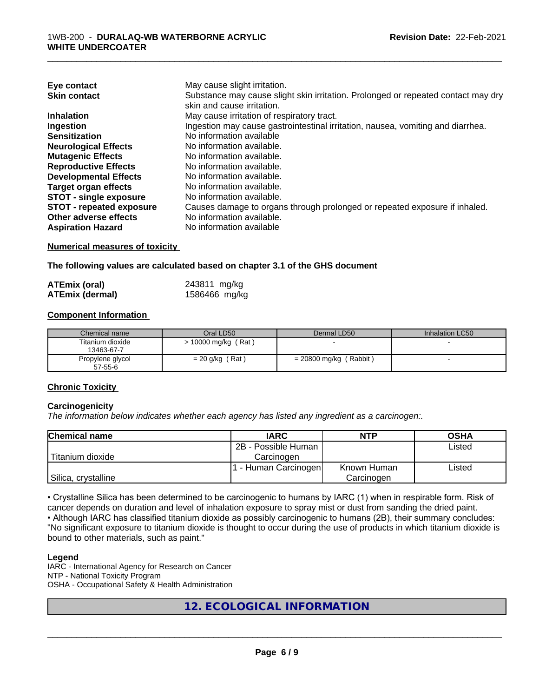| Eye contact                     | May cause slight irritation.                                                      |
|---------------------------------|-----------------------------------------------------------------------------------|
| <b>Skin contact</b>             | Substance may cause slight skin irritation. Prolonged or repeated contact may dry |
|                                 | skin and cause irritation.                                                        |
| <b>Inhalation</b>               | May cause irritation of respiratory tract.                                        |
| Ingestion                       | Ingestion may cause gastrointestinal irritation, nausea, vomiting and diarrhea.   |
| <b>Sensitization</b>            | No information available                                                          |
| <b>Neurological Effects</b>     | No information available.                                                         |
| <b>Mutagenic Effects</b>        | No information available.                                                         |
| <b>Reproductive Effects</b>     | No information available.                                                         |
| <b>Developmental Effects</b>    | No information available.                                                         |
| Target organ effects            | No information available.                                                         |
| <b>STOT - single exposure</b>   | No information available.                                                         |
| <b>STOT - repeated exposure</b> | Causes damage to organs through prolonged or repeated exposure if inhaled.        |
| Other adverse effects           | No information available.                                                         |
| <b>Aspiration Hazard</b>        | No information available                                                          |

**Numerical measures of toxicity**

**The following values are calculated based on chapter 3.1 of the GHS document**

| ATEmix (oral)          | 243811 mg/kg  |
|------------------------|---------------|
| <b>ATEmix (dermal)</b> | 1586466 mg/kg |

## **Component Information**

| Chemical name                  | Oral LD50           | Dermal LD50              | Inhalation LC50 |
|--------------------------------|---------------------|--------------------------|-----------------|
| Titanium dioxide<br>13463-67-7 | > 10000 mg/kg (Rat) |                          |                 |
| Propylene glycol<br>57-55-6    | $= 20$ g/kg (Rat)   | $= 20800$ mg/kg (Rabbit) |                 |

## **Chronic Toxicity**

#### **Carcinogenicity**

*The information below indicateswhether each agency has listed any ingredient as a carcinogen:.*

| <b>Chemical name</b> | <b>IARC</b>          | <b>NTP</b>  | <b>OSHA</b> |
|----------------------|----------------------|-------------|-------------|
|                      | 2B - Possible Human  |             | Listed      |
| Titanium dioxide     | Carcinoɑen           |             |             |
|                      | . - Human Carcinogen | Known Human | Listed      |
| Silica, crystalline  |                      | Carcinogen  |             |

• Crystalline Silica has been determined to be carcinogenic to humans by IARC (1) when in respirable form. Risk of cancer depends on duration and level of inhalation exposure to spray mist or dust from sanding the dried paint.

• Although IARC has classified titanium dioxide as possibly carcinogenic to humans (2B), their summary concludes: "No significant exposure to titanium dioxide is thought to occur during the use of products in which titanium dioxide is bound to other materials, such as paint."

#### **Legend**

IARC - International Agency for Research on Cancer NTP - National Toxicity Program OSHA - Occupational Safety & Health Administration

## **12. ECOLOGICAL INFORMATION**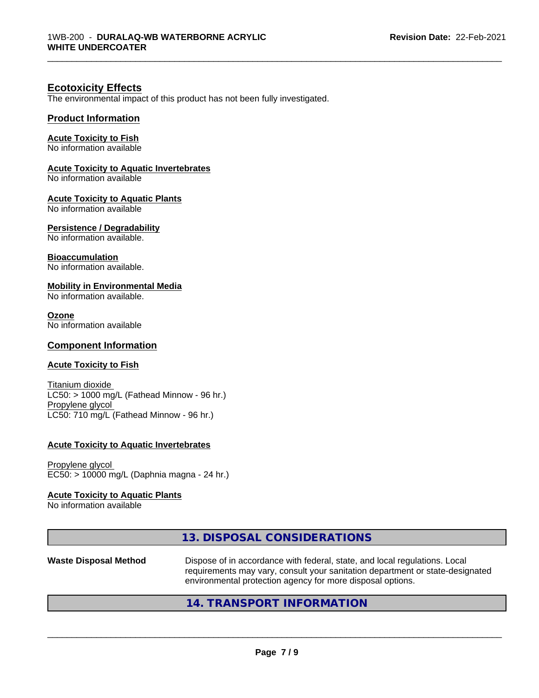## **Ecotoxicity Effects**

The environmental impact of this product has not been fully investigated.

## **Product Information**

## **Acute Toxicity to Fish**

No information available

## **Acute Toxicity to Aquatic Invertebrates**

No information available

## **Acute Toxicity to Aquatic Plants**

No information available

## **Persistence / Degradability**

No information available.

## **Bioaccumulation**

No information available.

## **Mobility in Environmental Media**

No information available.

#### **Ozone**

No information available

## **Component Information**

## **Acute Toxicity to Fish**

Titanium dioxide  $LC50:$  > 1000 mg/L (Fathead Minnow - 96 hr.) Propylene glycol LC50: 710 mg/L (Fathead Minnow - 96 hr.)

#### **Acute Toxicity to Aquatic Invertebrates**

Propylene glycol EC50: > 10000 mg/L (Daphnia magna - 24 hr.)

#### **Acute Toxicity to Aquatic Plants**

No information available

| <b>Waste Disposal Method</b> | Dispose of in accordance with federal, state, and local regulations. Local<br>requirements may vary, consult your sanitation department or state-designated<br>environmental protection agency for more disposal options. |
|------------------------------|---------------------------------------------------------------------------------------------------------------------------------------------------------------------------------------------------------------------------|
|                              |                                                                                                                                                                                                                           |
|                              | 13. DISPOSAL CONSIDERATIONS                                                                                                                                                                                               |

## **14. TRANSPORT INFORMATION**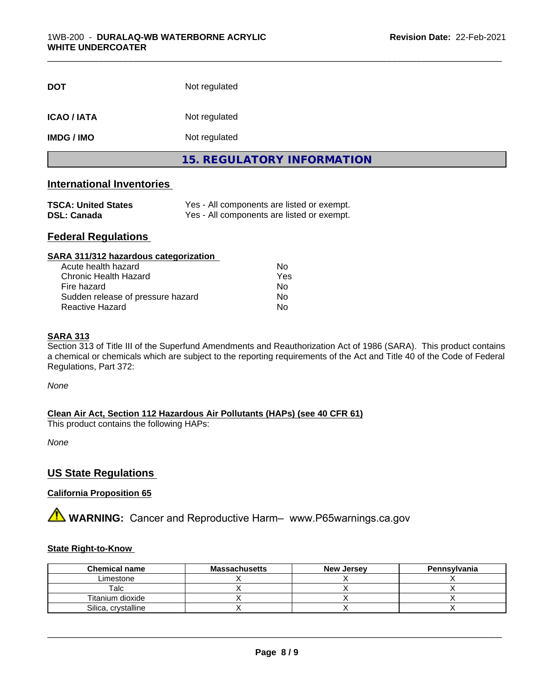| <b>DOT</b>       | Not regulated              |  |
|------------------|----------------------------|--|
| <b>ICAO/IATA</b> | Not regulated              |  |
| <b>IMDG/IMO</b>  | Not regulated              |  |
|                  | 15. REGULATORY INFORMATION |  |

## **International Inventories**

| <b>TSCA: United States</b> | Yes - All components are listed or exempt. |
|----------------------------|--------------------------------------------|
| <b>DSL: Canada</b>         | Yes - All components are listed or exempt. |

## **Federal Regulations**

| SARA 311/312 hazardous categorization |     |  |
|---------------------------------------|-----|--|
| Acute health hazard                   | Nο  |  |
| <b>Chronic Health Hazard</b>          | Yes |  |
| Fire hazard                           | No  |  |
| Sudden release of pressure hazard     | No  |  |
| Reactive Hazard                       | No  |  |

## **SARA 313**

Section 313 of Title III of the Superfund Amendments and Reauthorization Act of 1986 (SARA). This product contains a chemical or chemicals which are subject to the reporting requirements of the Act and Title 40 of the Code of Federal Regulations, Part 372:

*None*

**Clean Air Act,Section 112 Hazardous Air Pollutants (HAPs) (see 40 CFR 61)**

This product contains the following HAPs:

*None*

## **US State Regulations**

## **California Proposition 65**

**A** WARNING: Cancer and Reproductive Harm– www.P65warnings.ca.gov

## **State Right-to-Know**

| <b>Chemical name</b> | <b>Massachusetts</b> | <b>New Jersey</b> | Pennsylvania |
|----------------------|----------------------|-------------------|--------------|
| Limestone            |                      |                   |              |
| Talc                 |                      |                   |              |
| Titanium dioxide     |                      |                   |              |
| Silica, crystalline  |                      |                   |              |